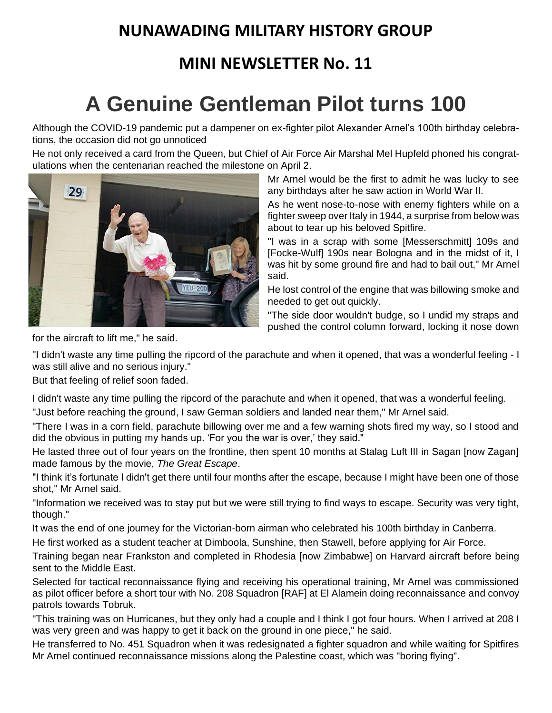### **NUNAWADING MILITARY HISTORY GROUP**

### **MINI NEWSLETTER No. 11**

# **A Genuine Gentleman Pilot turns 100**

Although the COVID-19 pandemic put a dampener on ex-fighter pilot Alexander Arnel's 100th birthday celebrations, the occasion did not go unnoticed

He not only received a card from the Queen, but Chief of Air Force Air Marshal Mel Hupfeld phoned his congratulations when the centenarian reached the milestone on April 2.



Mr Arnel would be the first to admit he was lucky to see any birthdays after he saw action in World War II.

As he went nose-to-nose with enemy fighters while on a fighter sweep over Italy in 1944, a surprise from below was about to tear up his beloved Spitfire.

"I was in a scrap with some [Messerschmitt] 109s and [Focke-Wulf] 190s near Bologna and in the midst of it, I was hit by some ground fire and had to bail out," Mr Arnel said.

He lost control of the engine that was billowing smoke and needed to get out quickly.

"The side door wouldn't budge, so I undid my straps and pushed the control column forward, locking it nose down

for the aircraft to lift me," he said.

"I didn't waste any time pulling the ripcord of the parachute and when it opened, that was a wonderful feeling - I was still alive and no serious injury."

But that feeling of relief soon faded.

I didn't waste any time pulling the ripcord of the parachute and when it opened, that was a wonderful feeling.

"Just before reaching the ground, I saw German soldiers and landed near them," Mr Arnel said.

"There I was in a corn field, parachute billowing over me and a few warning shots fired my way, so I stood and did the obvious in putting my hands up. 'For you the war is over,' they said."

He lasted three out of four years on the frontline, then spent 10 months at Stalag Luft III in Sagan [now Zagan] made famous by the movie, *The Great Escape*.

"I think it's fortunate I didn't get there until four months after the escape, because I might have been one of those shot," Mr Arnel said.

"Information we received was to stay put but we were still trying to find ways to escape. Security was very tight, though."

It was the end of one journey for the Victorian-born airman who celebrated his 100th birthday in Canberra.

He first worked as a student teacher at Dimboola, Sunshine, then Stawell, before applying for Air Force.

Training began near Frankston and completed in Rhodesia [now Zimbabwe] on Harvard aircraft before being sent to the Middle East.

Selected for tactical reconnaissance flying and receiving his operational training, Mr Arnel was commissioned as pilot officer before a short tour with No. 208 Squadron [RAF] at El Alamein doing reconnaissance and convoy patrols towards Tobruk.

"This training was on Hurricanes, but they only had a couple and I think I got four hours. When I arrived at 208 I was very green and was happy to get it back on the ground in one piece," he said.

He transferred to No. 451 Squadron when it was redesignated a fighter squadron and while waiting for Spitfires Mr Arnel continued reconnaissance missions along the Palestine coast, which was "boring flying".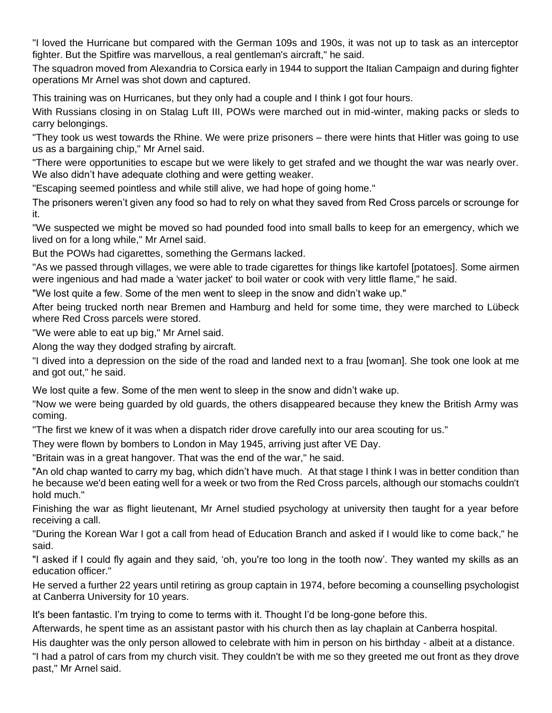"I loved the Hurricane but compared with the German 109s and 190s, it was not up to task as an interceptor fighter. But the Spitfire was marvellous, a real gentleman's aircraft," he said.

The squadron moved from Alexandria to Corsica early in 1944 to support the Italian Campaign and during fighter operations Mr Arnel was shot down and captured.

This training was on Hurricanes, but they only had a couple and I think I got four hours.

With Russians closing in on Stalag Luft III, POWs were marched out in mid-winter, making packs or sleds to carry belongings.

"They took us west towards the Rhine. We were prize prisoners – there were hints that Hitler was going to use us as a bargaining chip," Mr Arnel said.

"There were opportunities to escape but we were likely to get strafed and we thought the war was nearly over. We also didn't have adequate clothing and were getting weaker.

"Escaping seemed pointless and while still alive, we had hope of going home."

The prisoners weren't given any food so had to rely on what they saved from Red Cross parcels or scrounge for it.

"We suspected we might be moved so had pounded food into small balls to keep for an emergency, which we lived on for a long while," Mr Arnel said.

But the POWs had cigarettes, something the Germans lacked.

"As we passed through villages, we were able to trade cigarettes for things like kartofel [potatoes]. Some airmen were ingenious and had made a 'water jacket' to boil water or cook with very little flame," he said.

"We lost quite a few. Some of the men went to sleep in the snow and didn't wake up."

After being trucked north near Bremen and Hamburg and held for some time, they were marched to Lübeck where Red Cross parcels were stored.

"We were able to eat up big," Mr Arnel said.

Along the way they dodged strafing by aircraft.

"I dived into a depression on the side of the road and landed next to a frau [woman]. She took one look at me and got out," he said.

We lost quite a few. Some of the men went to sleep in the snow and didn't wake up.

"Now we were being guarded by old guards, the others disappeared because they knew the British Army was coming.

"The first we knew of it was when a dispatch rider drove carefully into our area scouting for us."

They were flown by bombers to London in May 1945, arriving just after VE Day.

"Britain was in a great hangover. That was the end of the war," he said.

"An old chap wanted to carry my bag, which didn't have much. At that stage I think I was in better condition than he because we'd been eating well for a week or two from the Red Cross parcels, although our stomachs couldn't hold much."

Finishing the war as flight lieutenant, Mr Arnel studied psychology at university then taught for a year before receiving a call.

"During the Korean War I got a call from head of Education Branch and asked if I would like to come back," he said.

"I asked if I could fly again and they said, 'oh, you're too long in the tooth now'. They wanted my skills as an education officer."

He served a further 22 years until retiring as group captain in 1974, before becoming a counselling psychologist at Canberra University for 10 years.

It's been fantastic. I'm trying to come to terms with it. Thought I'd be long-gone before this.

Afterwards, he spent time as an assistant pastor with his church then as lay chaplain at Canberra hospital.

His daughter was the only person allowed to celebrate with him in person on his birthday - albeit at a distance.

"I had a patrol of cars from my church visit. They couldn't be with me so they greeted me out front as they drove past," Mr Arnel said.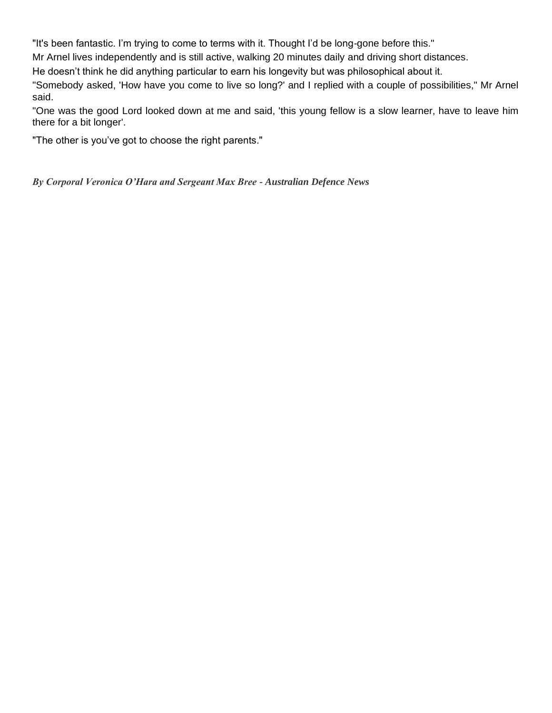"It's been fantastic. I'm trying to come to terms with it. Thought I'd be long-gone before this."

Mr Arnel lives independently and is still active, walking 20 minutes daily and driving short distances.

He doesn't think he did anything particular to earn his longevity but was philosophical about it.

"Somebody asked, 'How have you come to live so long?' and I replied with a couple of possibilities," Mr Arnel said.

"One was the good Lord looked down at me and said, 'this young fellow is a slow learner, have to leave him there for a bit longer'.

"The other is you've got to choose the right parents."

#### *By Corporal Veronica O'Hara and Sergeant Max Bree - Australian Defence News*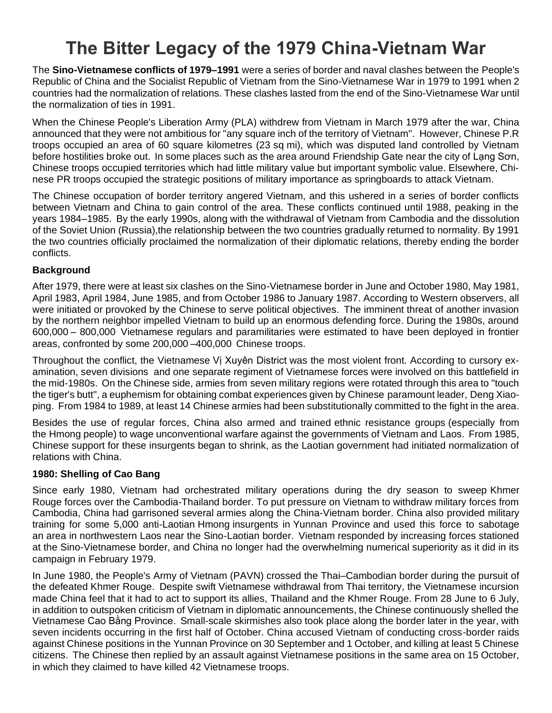## **The Bitter Legacy of the 1979 China-Vietnam War**

The **Sino-Vietnamese conflicts of 1979–1991** were a series of border and naval clashes between the [People's](https://en.wikipedia.org/wiki/People%27s_Republic_of_China)  [Republic of China](https://en.wikipedia.org/wiki/People%27s_Republic_of_China) and the [Socialist Republic of Vietnam](https://en.wikipedia.org/wiki/Socialist_Republic_of_Vietnam) from the [Sino-Vietnamese War](https://en.wikipedia.org/wiki/Sino-Vietnamese_War) in 1979 to 1991 when 2 countries had the normalization of relations. These clashes lasted from the end of the Sino-Vietnamese War until the normalization of ties in 1991.

When the Chinese [People's Liberation Army](https://en.wikipedia.org/wiki/People%27s_Liberation_Army) (PLA) withdrew from Vietnam in March 1979 after the war, China announced that they were not ambitious for "any square inch of the territory of Vietnam". However, Chinese P.R troops occupied an area of 60 square kilometres (23 sq mi), which was disputed land controlled by Vietnam before hostilities broke out. In some places such as the area around [Friendship Gate](https://en.wikipedia.org/wiki/Friendship_Gate) near the city of Lang Son, Chinese troops occupied territories which had little military value but important symbolic value. Elsewhere, Chinese PR troops occupied the strategic positions of military importance as springboards to attack Vietnam.

The Chinese occupation of border territory angered Vietnam, and this ushered in a series of border conflicts between Vietnam and China to gain control of the area. These conflicts continued until 1988, peaking in the years 1984–1985. By the early 1990s, along with the withdrawal of Vietnam from [Cambodia](https://en.wikipedia.org/wiki/Cambodia) and the [dissolution](https://en.wikipedia.org/wiki/Dissolution_of_the_Soviet_Union)  [of the Soviet Union](https://en.wikipedia.org/wiki/Dissolution_of_the_Soviet_Union) [\(Russia\)](https://en.wikipedia.org/wiki/Russia),the relationship between the two countries gradually returned to normality. By 1991 the two countries officially proclaimed the normalization of their diplomatic relations, thereby ending the border conflicts.

#### **Background**

After 1979, there were at least six clashes on the Sino-Vietnamese border in June and October 1980, May 1981, April 1983, April 1984, June 1985, and from October 1986 to January 1987. According to Western observers, all were initiated or provoked by the Chinese to serve political objectives. The imminent threat of another invasion by the northern neighbor impelled Vietnam to build up an enormous defending force. During the 1980s, around 600,000 – 800,000 Vietnamese regulars and paramilitaries were estimated to have been deployed in frontier areas, confronted by some 200,000 –400,000 Chinese troops.

Throughout the conflict, the Vietnamese [Vị Xuyên District](https://en.wikipedia.org/wiki/V%E1%BB%8B_Xuy%C3%AAn_District) was the most violent front. According to cursory examination, seven [divisions](https://en.wikipedia.org/wiki/Division_(military)) and one separate [regiment](https://en.wikipedia.org/wiki/Regiment) of Vietnamese forces were involved on this battlefield in the mid-1980s. On the Chinese side, armies from [seven military regions](https://en.wikipedia.org/wiki/PLA_military_region) were rotated through this area to "touch the tiger's butt", a euphemism for obtaining combat experiences given by Chinese [paramount leader,](https://en.wikipedia.org/wiki/Paramount_leader) [Deng Xiao](https://en.wikipedia.org/wiki/Deng_Xiaoping)[ping.](https://en.wikipedia.org/wiki/Deng_Xiaoping) From 1984 to 1989, at least 14 Chinese armies had been substitutionally committed to the fight in the area.

Besides the use of regular forces, China also armed and trained [ethnic resistance groups](https://en.wikipedia.org/wiki/United_Front_for_the_Liberation_of_Oppressed_Races) (especially from the [Hmong people\)](https://en.wikipedia.org/wiki/Hmong_people) to wage unconventional warfare against the governments of Vietnam and [Laos.](https://en.wikipedia.org/wiki/Laos) From 1985, Chinese support for these insurgents began to shrink, as the Laotian government had initiated normalization of relations with China.

#### **1980: Shelling of Cao Bang**

Since early 1980, Vietnam had orchestrated military operations during the dry season to sweep [Khmer](https://en.wikipedia.org/wiki/Khmer_Rouge)  [Rouge](https://en.wikipedia.org/wiki/Khmer_Rouge) forces over the Cambodia-Thailand border. To put pressure on Vietnam to withdraw military forces from Cambodia, China had garrisoned several armies along the [China-Vietnam border.](https://en.wikipedia.org/wiki/China-Vietnam_border) China also provided military training for some 5,000 anti-Laotian [Hmong](https://en.wikipedia.org/wiki/Hmong_people) insurgents in [Yunnan Province](https://en.wikipedia.org/wiki/Yunnan_Province) and used this force to sabotage an area in northwestern Laos near the Sino-Laotian border. Vietnam responded by increasing forces stationed at the Sino-Vietnamese border, and China no longer had the overwhelming numerical superiority as it did in its campaign in February 1979.

In June 1980, the [People's Army of Vietnam](https://en.wikipedia.org/wiki/People%27s_Army_of_Vietnam) (PAVN) [crossed the Thai–Cambodian border](https://en.wikipedia.org/wiki/Vietnamese_border_raids_in_Thailand) during the pursuit of the defeated Khmer Rouge. Despite swift Vietnamese withdrawal from Thai territory, the Vietnamese incursion made China feel that it had to act to support its allies, [Thailand](https://en.wikipedia.org/wiki/Thailand) and the Khmer Rouge. From 28 June to 6 July, in addition to outspoken criticism of Vietnam in diplomatic announcements, the Chinese continuously shelled the Vietnamese [Cao Bằng Province.](https://en.wikipedia.org/wiki/Cao_B%E1%BA%B1ng_Province) Small-scale skirmishes also took place along the border later in the year, with seven incidents occurring in the first half of October. China accused Vietnam of conducting cross-border raids against Chinese positions in the Yunnan Province on 30 September and 1 October, and killing at least 5 Chinese citizens. The Chinese then replied by an assault against Vietnamese positions in the same area on 15 October, in which they claimed to have killed 42 Vietnamese troops.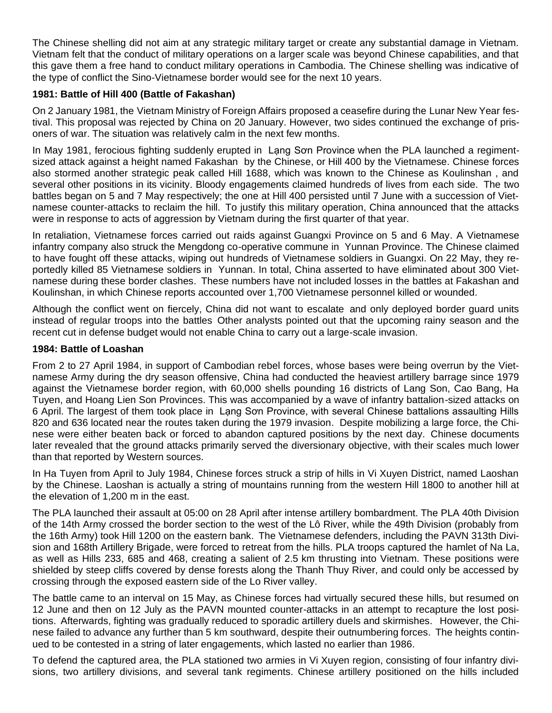The Chinese shelling did not aim at any strategic military target or create any substantial damage in Vietnam. Vietnam felt that the conduct of military operations on a larger scale was beyond Chinese capabilities, and that this gave them a free hand to conduct military operations in Cambodia. The Chinese shelling was indicative of the type of conflict the Sino-Vietnamese border would see for the next 10 years.

#### **1981: Battle of Hill 400 (Battle of Fakashan)**

On 2 January 1981, the [Vietnam Ministry of Foreign Affairs](https://en.wikipedia.org/wiki/Ministry_of_Foreign_Affairs_(Vietnam)) proposed a ceasefire during the [Lunar New Year](https://en.wikipedia.org/wiki/Lunar_New_Year) festival. This proposal was rejected by China on 20 January. However, two sides continued the exchange of prisoners of war. The situation was relatively calm in the next few months.

In May 1981, ferocious fighting suddenly erupted in Lang Sơn Province when the PLA launched a regimentsized attack against a height named Fakashan by the Chinese, or Hill 400 by the Vietnamese. Chinese forces also stormed another strategic peak called Hill 1688, which was known to the Chinese as Koulinshan , and several other positions in its vicinity. Bloody engagements claimed hundreds of lives from each side. The two battles began on 5 and 7 May respectively; the one at Hill 400 persisted until 7 June with a succession of Vietnamese counter-attacks to reclaim the hill. To justify this military operation, China announced that the attacks were in response to acts of aggression by Vietnam during the first quarter of that year.

In retaliation, Vietnamese forces carried out raids against [Guangxi Province](https://en.wikipedia.org/wiki/Guangxi_Province) on 5 and 6 May. A Vietnamese infantry company also struck the Mengdong co-operative commune in Yunnan Province. The Chinese claimed to have fought off these attacks, wiping out hundreds of Vietnamese soldiers in Guangxi. On 22 May, they reportedly killed 85 Vietnamese soldiers in Yunnan. In total, China asserted to have eliminated about 300 Vietnamese during these border clashes. These numbers have not included losses in the battles at Fakashan and Koulinshan, in which Chinese reports accounted over 1,700 Vietnamese personnel killed or wounded.

Although the conflict went on fiercely, China did not want to escalate and only deployed border guard units instead of regular troops into the battles Other analysts pointed out that the upcoming rainy season and the recent cut in defense budget would not enable China to carry out a large-scale invasion.

#### **1984: Battle of Loashan**

From 2 to 27 April 1984, in support of [Cambodian rebel forces,](https://en.wikipedia.org/wiki/Coalition_Government_of_Democratic_Kampuchea) whose bases were being overrun by the Vietnamese Army during the dry season offensive, China had conducted the heaviest artillery barrage since 1979 against the Vietnamese border region, with 60,000 shells pounding 16 districts of Lang Son, Cao Bang, Ha Tuyen, and Hoang Lien Son Provinces. This was accompanied by a wave of infantry battalion-sized attacks on 6 April. The largest of them took place in Lạng Sơn Province, with several Chinese battalions assaulting Hills 820 and 636 located near [the routes taken during the 1979 invasion.](https://en.wikipedia.org/wiki/First_Battle_of_Lang_Son) Despite mobilizing a large force, the Chinese were either beaten back or forced to abandon captured positions by the next day. Chinese documents later revealed that the ground attacks primarily served the diversionary objective, with their scales much lower than that reported by Western sources.

In Ha Tuyen from April to July 1984, Chinese forces struck a strip of hills in Vi Xuyen District, named Laoshan by the Chinese. Laoshan is actually a string of mountains running from the western Hill 1800 to another hill at the elevation of 1,200 m in the east.

The PLA launched their assault at 05:00 on 28 April after intense artillery bombardment. The PLA 40th Division of the 14th Army crossed the border section to the west of the Lô River, while the 49th Division (probably from the [16th Army\)](https://en.wikipedia.org/wiki/16th_Army_(People%27s_Republic_of_China)) took Hill 1200 on the eastern bank. The Vietnamese defenders, including the PAVN 313th Division and 168th Artillery Brigade, were forced to retreat from the hills. PLA troops captured the hamlet of Na La, as well as Hills 233, 685 and 468, creating a salient of 2.5 km thrusting into Vietnam. These positions were shielded by steep cliffs covered by dense forests along the Thanh Thuy River, and could only be accessed by crossing through the exposed eastern side of the Lo River valley.

The battle came to an interval on 15 May, as Chinese forces had virtually secured these hills, but resumed on 12 June and then on 12 July as the PAVN mounted counter-attacks in an attempt to recapture the lost positions. Afterwards, fighting was gradually reduced to sporadic artillery duels and skirmishes. However, the Chinese failed to advance any further than 5 km southward, despite their outnumbering forces. The heights continued to be contested in a string of later engagements, which lasted no earlier than 1986.

To defend the captured area, the PLA stationed two armies in Vi Xuyen region, consisting of four infantry divisions, two artillery divisions, and several tank regiments. Chinese artillery positioned on the hills included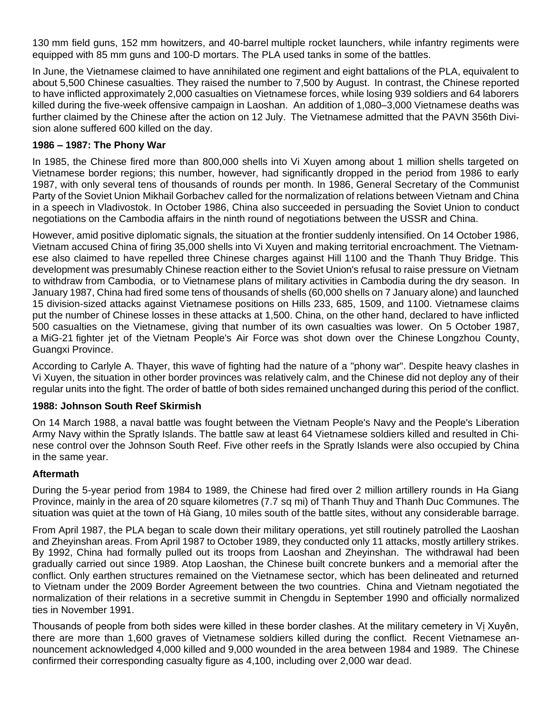130 mm field guns, 152 mm howitzers, and 40-barrel [multiple rocket launchers,](https://en.wikipedia.org/wiki/Multiple_rocket_launchers) while infantry regiments were equipped with 85 mm guns and 100-D mortars. The PLA used tanks in some of the battles.

In June, the Vietnamese claimed to have annihilated one regiment and eight battalions of the PLA, equivalent to about 5,500 Chinese casualties. They raised the number to 7,500 by August. In contrast, the Chinese reported to have inflicted approximately 2,000 casualties on Vietnamese forces, while losing 939 soldiers and 64 laborers killed during the five-week offensive campaign in Laoshan. An addition of 1,080–3,000 Vietnamese deaths was further claimed by the Chinese after the action on 12 July. The Vietnamese admitted that the PAVN 356th Division alone suffered 600 killed on the day.

#### **1986 – 1987: The Phony War**

In 1985, the Chinese fired more than 800,000 shells into Vi Xuyen among about 1 million shells targeted on Vietnamese border regions; this number, however, had significantly dropped in the period from 1986 to early 1987, with only several tens of thousands of rounds per month. In 1986, [General Secretary of the Communist](https://en.wikipedia.org/wiki/General_Secretary_of_the_Communist_Party_of_the_Soviet_Union)  [Party of the Soviet Union](https://en.wikipedia.org/wiki/General_Secretary_of_the_Communist_Party_of_the_Soviet_Union) [Mikhail Gorbachev](https://en.wikipedia.org/wiki/Mikhail_Gorbachev) called for the normalization of relations between Vietnam and China in a speech in [Vladivostok.](https://en.wikipedia.org/wiki/Vladivostok) In October 1986, China also succeeded in persuading the [Soviet Union](https://en.wikipedia.org/wiki/Soviet_Union) to conduct negotiations on the Cambodia affairs in the ninth round of negotiations between the USSR and China.

However, amid positive diplomatic signals, the situation at the frontier suddenly intensified. On 14 October 1986, Vietnam accused China of firing 35,000 shells into Vi Xuyen and making territorial encroachment. The Vietnamese also claimed to have repelled three Chinese charges against Hill 1100 and the Thanh Thuy Bridge. This development was presumably Chinese reaction either to the Soviet Union's refusal to raise pressure on Vietnam to withdraw from Cambodia, or to Vietnamese plans of military activities in Cambodia during the dry season. In January 1987, China had fired some tens of thousands of shells (60,000 shells on 7 January alone) and launched 15 division-sized attacks against Vietnamese positions on Hills 233, 685, 1509, and 1100. Vietnamese claims put the number of Chinese losses in these attacks at 1,500. China, on the other hand, declared to have inflicted 500 casualties on the Vietnamese, giving that number of its own casualties was lower. On 5 October 1987, a [MiG-21](https://en.wikipedia.org/wiki/Mikoyan-Gurevich_MiG-21) fighter jet of the [Vietnam People's Air Force](https://en.wikipedia.org/wiki/Vietnam_People%27s_Air_Force) was shot down over the Chinese [Longzhou County,](https://en.wikipedia.org/wiki/Longzhou_County) Guangxi Province.

According to Carlyle A. Thayer, this wave of fighting had the nature of a ["phony war".](https://en.wikipedia.org/wiki/Phoney_War) Despite heavy clashes in Vi Xuyen, the situation in other border provinces was relatively calm, and the Chinese did not deploy any of their regular units into the fight. The order of battle of both sides remained unchanged during this period of the conflict.

#### **1988: Johnson South Reef Skirmish**

On 14 March 1988, a naval battle was fought between the [Vietnam People's Navy](https://en.wikipedia.org/wiki/Vietnam_People%27s_Navy) and the [People's Liberation](https://en.wikipedia.org/wiki/People%27s_Liberation_Army_Navy)  [Army Navy](https://en.wikipedia.org/wiki/People%27s_Liberation_Army_Navy) within the [Spratly Islands.](https://en.wikipedia.org/wiki/Spratly_Islands) The battle saw at least 64 Vietnamese soldiers killed and resulted in Chinese control over the Johnson South Reef. Five other reefs in the Spratly Islands were also occupied by China in the same year.

#### **Aftermath**

During the 5-year period from 1984 to 1989, the Chinese had fired over 2 million artillery rounds in Ha Giang Province, mainly in the area of 20 square kilometres (7.7 sq mi) of Thanh Thuy and Thanh Duc Communes. The situation was quiet at the town of [Hà Giang,](https://en.wikipedia.org/wiki/H%C3%A0_Giang) 10 miles south of the battle sites, without any considerable barrage.

From April 1987, the PLA began to scale down their military operations, yet still routinely patrolled the Laoshan and Zheyinshan areas. From April 1987 to October 1989, they conducted only 11 attacks, mostly artillery strikes. By 1992, China had formally pulled out its troops from Laoshan and Zheyinshan. The withdrawal had been gradually carried out since 1989. Atop Laoshan, the Chinese built concrete bunkers and a memorial after the conflict. Only earthen structures remained on the Vietnamese sector, which has been delineated and returned to Vietnam under the 2009 Border Agreement between the two countries. China and Vietnam negotiated the normalization of their relations in a secretive summit in [Chengdu](https://en.wikipedia.org/wiki/Chengdu) in September 1990 and officially normalized ties in November 1991.

Thousands of people from both sides were killed in these border clashes. At the military cemetery in Vị Xuyên, there are more than 1,600 graves of Vietnamese soldiers killed during the conflict. Recent Vietnamese announcement acknowledged 4,000 killed and 9,000 wounded in the area between 1984 and 1989. The Chinese confirmed their corresponding casualty figure as 4,100, including over 2,000 war dead.